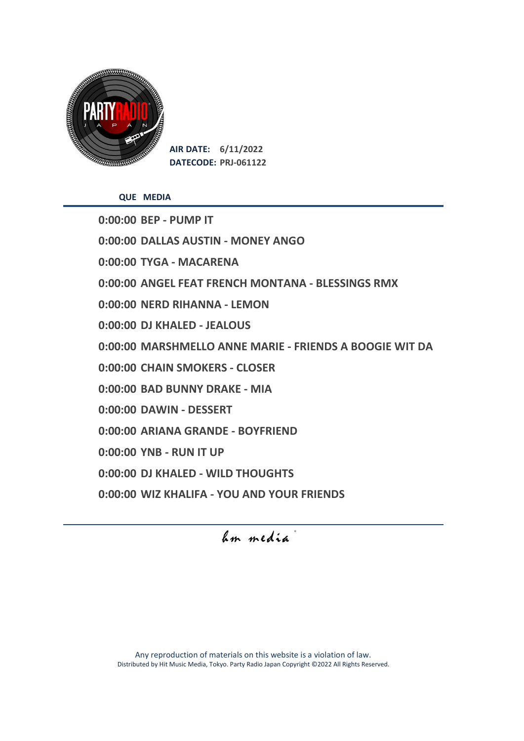

**QUE MEDIA**

**0:00:00 BEP - PUMP IT 0:00:00 DALLAS AUSTIN - MONEY ANGO 0:00:00 TYGA - MACARENA 0:00:00 ANGEL FEAT FRENCH MONTANA - BLESSINGS RMX 0:00:00 NERD RIHANNA - LEMON 0:00:00 DJ KHALED - JEALOUS 0:00:00 MARSHMELLO ANNE MARIE - FRIENDS A BOOGIE WIT DA 0:00:00 CHAIN SMOKERS - CLOSER 0:00:00 BAD BUNNY DRAKE - MIA 0:00:00 DAWIN - DESSERT 0:00:00 ARIANA GRANDE - BOYFRIEND 0:00:00 YNB - RUN IT UP 0:00:00 DJ KHALED - WILD THOUGHTS 0:00:00 WIZ KHALIFA - YOU AND YOUR FRIENDS**

# Im media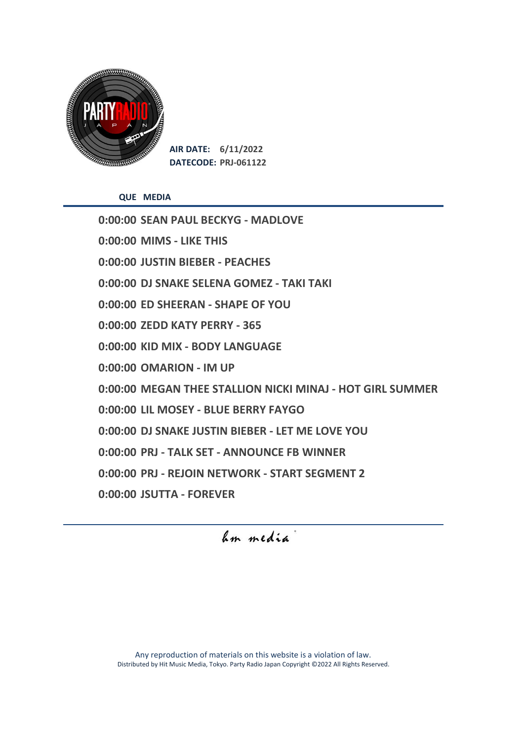

**QUE MEDIA**

**0:00:00 SEAN PAUL BECKYG - MADLOVE 0:00:00 MIMS - LIKE THIS 0:00:00 JUSTIN BIEBER - PEACHES 0:00:00 DJ SNAKE SELENA GOMEZ - TAKI TAKI 0:00:00 ED SHEERAN - SHAPE OF YOU 0:00:00 ZEDD KATY PERRY - 365 0:00:00 KID MIX - BODY LANGUAGE 0:00:00 OMARION - IM UP 0:00:00 MEGAN THEE STALLION NICKI MINAJ - HOT GIRL SUMMER 0:00:00 LIL MOSEY - BLUE BERRY FAYGO 0:00:00 DJ SNAKE JUSTIN BIEBER - LET ME LOVE YOU 0:00:00 PRJ - TALK SET - ANNOUNCE FB WINNER 0:00:00 PRJ - REJOIN NETWORK - START SEGMENT 2 0:00:00 JSUTTA - FOREVER**

Im media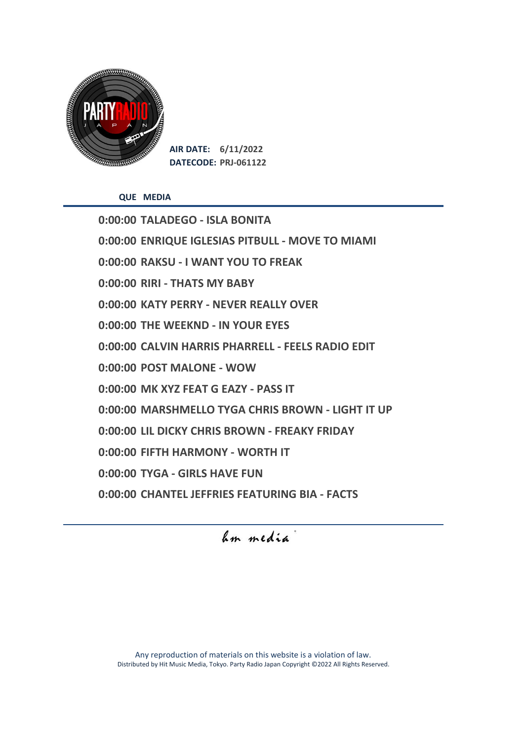

**QUE MEDIA**

**0:00:00 TALADEGO - ISLA BONITA 0:00:00 ENRIQUE IGLESIAS PITBULL - MOVE TO MIAMI 0:00:00 RAKSU - I WANT YOU TO FREAK 0:00:00 RIRI - THATS MY BABY 0:00:00 KATY PERRY - NEVER REALLY OVER 0:00:00 THE WEEKND - IN YOUR EYES 0:00:00 CALVIN HARRIS PHARRELL - FEELS RADIO EDIT 0:00:00 POST MALONE - WOW 0:00:00 MK XYZ FEAT G EAZY - PASS IT 0:00:00 MARSHMELLO TYGA CHRIS BROWN - LIGHT IT UP 0:00:00 LIL DICKY CHRIS BROWN - FREAKY FRIDAY 0:00:00 FIFTH HARMONY - WORTH IT 0:00:00 TYGA - GIRLS HAVE FUN 0:00:00 CHANTEL JEFFRIES FEATURING BIA - FACTS**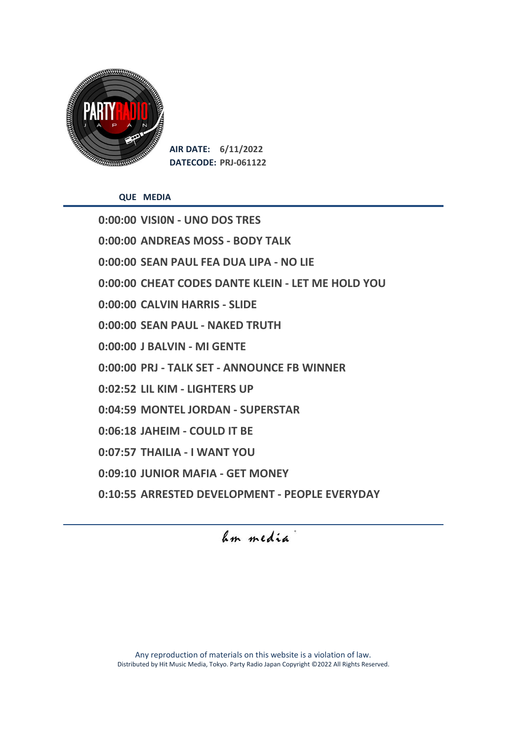

**QUE MEDIA**

**0:00:00 VISI0N - UNO DOS TRES 0:00:00 ANDREAS MOSS - BODY TALK 0:00:00 SEAN PAUL FEA DUA LIPA - NO LIE 0:00:00 CHEAT CODES DANTE KLEIN - LET ME HOLD YOU 0:00:00 CALVIN HARRIS - SLIDE 0:00:00 SEAN PAUL - NAKED TRUTH 0:00:00 J BALVIN - MI GENTE 0:00:00 PRJ - TALK SET - ANNOUNCE FB WINNER 0:02:52 LIL KIM - LIGHTERS UP 0:04:59 MONTEL JORDAN - SUPERSTAR 0:06:18 JAHEIM - COULD IT BE 0:07:57 THAILIA - I WANT YOU 0:09:10 JUNIOR MAFIA - GET MONEY 0:10:55 ARRESTED DEVELOPMENT - PEOPLE EVERYDAY**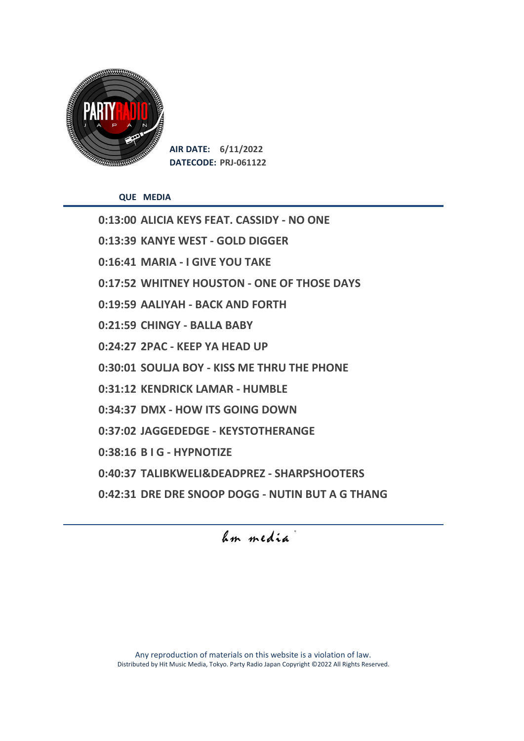

**QUE MEDIA**

**0:13:00 ALICIA KEYS FEAT. CASSIDY - NO ONE 0:13:39 KANYE WEST - GOLD DIGGER 0:16:41 MARIA - I GIVE YOU TAKE 0:17:52 WHITNEY HOUSTON - ONE OF THOSE DAYS 0:19:59 AALIYAH - BACK AND FORTH 0:21:59 CHINGY - BALLA BABY 0:24:27 2PAC - KEEP YA HEAD UP 0:30:01 SOULJA BOY - KISS ME THRU THE PHONE 0:31:12 KENDRICK LAMAR - HUMBLE 0:34:37 DMX - HOW ITS GOING DOWN 0:37:02 JAGGEDEDGE - KEYSTOTHERANGE 0:38:16 B I G - HYPNOTIZE 0:40:37 TALIBKWELI&DEADPREZ - SHARPSHOOTERS 0:42:31 DRE DRE SNOOP DOGG - NUTIN BUT A G THANG**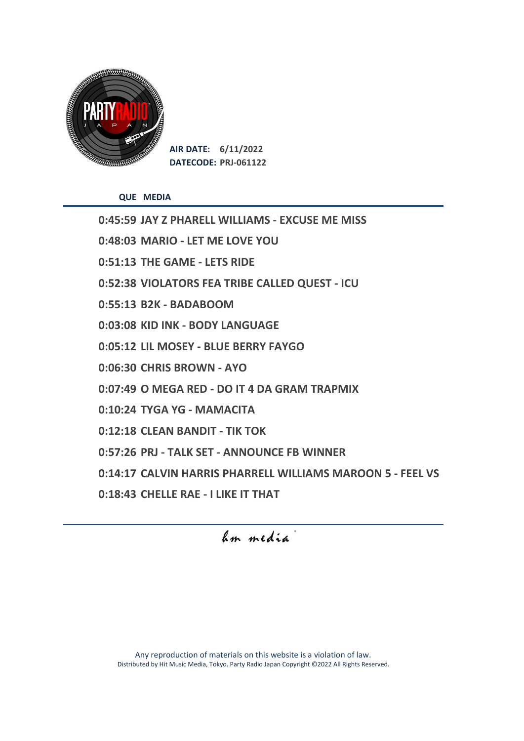

**QUE MEDIA**

**0:45:59 JAY Z PHARELL WILLIAMS - EXCUSE ME MISS 0:48:03 MARIO - LET ME LOVE YOU 0:51:13 THE GAME - LETS RIDE 0:52:38 VIOLATORS FEA TRIBE CALLED QUEST - ICU 0:55:13 B2K - BADABOOM 0:03:08 KID INK - BODY LANGUAGE 0:05:12 LIL MOSEY - BLUE BERRY FAYGO 0:06:30 CHRIS BROWN - AYO 0:07:49 O MEGA RED - DO IT 4 DA GRAM TRAPMIX 0:10:24 TYGA YG - MAMACITA 0:12:18 CLEAN BANDIT - TIK TOK 0:57:26 PRJ - TALK SET - ANNOUNCE FB WINNER 0:14:17 CALVIN HARRIS PHARRELL WILLIAMS MAROON 5 - FEEL VS 0:18:43 CHELLE RAE - I LIKE IT THAT**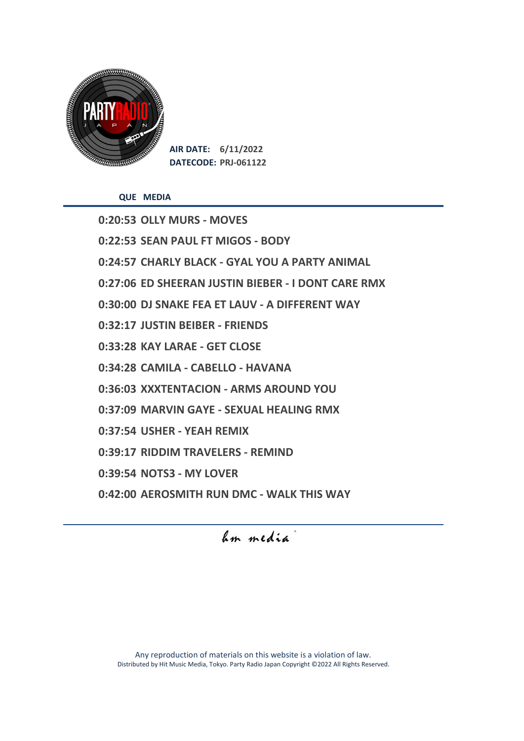

**QUE MEDIA**

**0:20:53 OLLY MURS - MOVES 0:22:53 SEAN PAUL FT MIGOS - BODY 0:24:57 CHARLY BLACK - GYAL YOU A PARTY ANIMAL 0:27:06 ED SHEERAN JUSTIN BIEBER - I DONT CARE RMX 0:30:00 DJ SNAKE FEA ET LAUV - A DIFFERENT WAY 0:32:17 JUSTIN BEIBER - FRIENDS 0:33:28 KAY LARAE - GET CLOSE 0:34:28 CAMILA - CABELLO - HAVANA 0:36:03 XXXTENTACION - ARMS AROUND YOU 0:37:09 MARVIN GAYE - SEXUAL HEALING RMX 0:37:54 USHER - YEAH REMIX 0:39:17 RIDDIM TRAVELERS - REMIND 0:39:54 NOTS3 - MY LOVER 0:42:00 AEROSMITH RUN DMC - WALK THIS WAY**